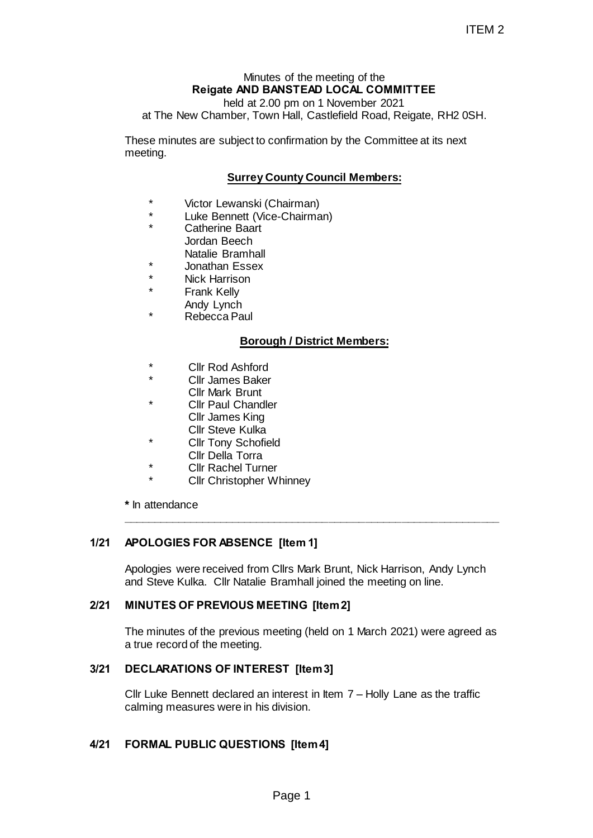# Minutes of the meeting of the **Reigate AND BANSTEAD LOCAL COMMITTEE**

held at 2.00 pm on 1 November 2021

at The New Chamber, Town Hall, Castlefield Road, Reigate, RH2 0SH.

These minutes are subject to confirmation by the Committee at its next meeting.

## **Surrey County Council Members:**

- \* Victor Lewanski (Chairman)
- Luke Bennett (Vice-Chairman)
- Catherine Baart Jordan Beech Natalie Bramhall
- Jonathan Essex
- Nick Harrison
- **Frank Kelly** 
	- Andy Lynch
- Rebecca Paul

## **Borough / District Members:**

- Cllr Rod Ashford
- Cllr James Baker Cllr Mark Brunt
- Cllr Paul Chandler Cllr James King
	- Cllr Steve Kulka
- Cllr Tony Schofield
- Cllr Della Torra
- **Cllr Rachel Turner**
- **Cllr Christopher Whinney**

**\*** In attendance

## **1/21 APOLOGIES FOR ABSENCE [Item 1]**

Apologies were received from Cllrs Mark Brunt, Nick Harrison, Andy Lynch and Steve Kulka. Cllr Natalie Bramhall joined the meeting on line.

**\_\_\_\_\_\_\_\_\_\_\_\_\_\_\_\_\_\_\_\_\_\_\_\_\_\_\_\_\_\_\_\_\_\_\_\_\_\_\_\_\_\_\_\_\_\_\_\_\_\_\_\_\_\_\_\_\_\_\_\_\_\_**

#### **2/21 MINUTES OF PREVIOUS MEETING [Item 2]**

The minutes of the previous meeting (held on 1 March 2021) were agreed as a true record of the meeting. ITEM 2<br>
ITEM 2<br>
WASTEAD LOCAL COMMITTEE<br>
In hall, Castlefield Road, Reigate, RH2 0SH.<br>
nonfirmation by the Committee at its next<br>
ounty Council Members:<br>
Chairman)<br>
-Chairman)<br>
gh / District Members:<br>
gh / District Members

## **3/21 DECLARATIONS OF INTEREST [Item 3]**

Cllr Luke Bennett declared an interest in Item 7 – Holly Lane as the traffic calming measures were in his division.

## **4/21 FORMAL PUBLIC QUESTIONS [Item 4]**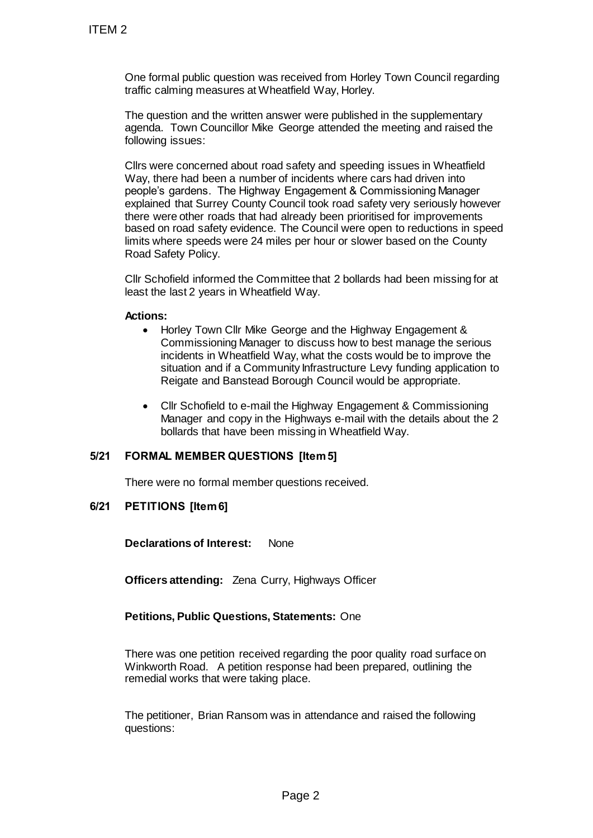One formal public question was received from Horley Town Council regarding traffic calming measures at Wheatfield Way, Horley.

The question and the written answer were published in the supplementary agenda. Town Councillor Mike George attended the meeting and raised the following issues:

Cllrs were concerned about road safety and speeding issues in Wheatfield Way, there had been a number of incidents where cars had driven into people's gardens. The Highway Engagement & Commissioning Manager explained that Surrey County Council took road safety very seriously however there were other roads that had already been prioritised for improvements based on road safety evidence. The Council were open to reductions in speed limits where speeds were 24 miles per hour or slower based on the County Road Safety Policy. TTEM 2<br>
One formal public question was receiver<br>
traffic calming measures at Wheatfield V<br>
The question and the written answer we<br>
agenda. Town Councillor Mke George :<br>
Clirs were concerned about road safety<br>
Way, there ha

Cllr Schofield informed the Committee that 2 bollards had been missing for at least the last 2 years in Wheatfield Way.

#### **Actions:**

- Horley Town Cllr Mike George and the Highway Engagement & Commissioning Manager to discuss how to best manage the serious incidents in Wheatfield Way, what the costs would be to improve the situation and if a Community Infrastructure Levy funding application to Reigate and Banstead Borough Council would be appropriate.
- Cllr Schofield to e-mail the Highway Engagement & Commissioning Manager and copy in the Highways e-mail with the details about the 2 bollards that have been missing in Wheatfield Way.

## **5/21 FORMAL MEMBER QUESTIONS [Item 5]**

There were no formal member questions received.

# **6/21 PETITIONS [Item 6]**

**Declarations of Interest:** None

**Officers attending:** Zena Curry, Highways Officer

## **Petitions, Public Questions, Statements:** One

There was one petition received regarding the poor quality road surface on Winkworth Road. A petition response had been prepared, outlining the remedial works that were taking place.

The petitioner, Brian Ransom was in attendance and raised the following questions: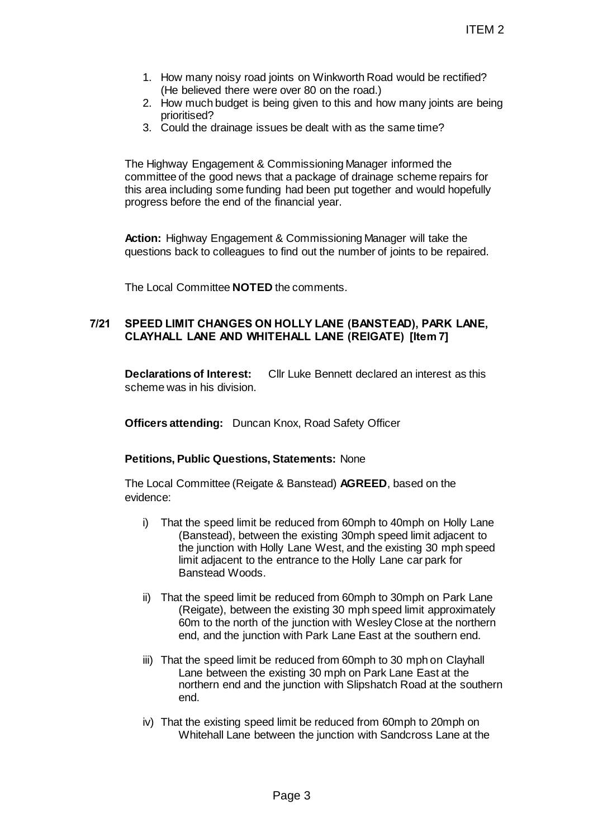- 1. How many noisy road joints on Winkworth Road would be rectified? (He believed there were over 80 on the road.)
- 2. How much budget is being given to this and how many joints are being prioritised?
- 3. Could the drainage issues be dealt with as the same time?

The Highway Engagement & Commissioning Manager informed the committee of the good news that a package of drainage scheme repairs for this area including some funding had been put together and would hopefully progress before the end of the financial year.

**Action:** Highway Engagement & Commissioning Manager will take the questions back to colleagues to find out the number of joints to be repaired.

The Local Committee **NOTED** the comments.

## **7/21 SPEED LIMIT CHANGES ON HOLLY LANE (BANSTEAD), PARK LANE, CLAYHALL LANE AND WHITEHALL LANE (REIGATE) [Item 7]**

**Declarations of Interest:** Cllr Luke Bennett declared an interest as this scheme was in his division.

**Officers attending:** Duncan Knox, Road Safety Officer

## **Petitions, Public Questions, Statements:** None

The Local Committee (Reigate & Banstead) **AGREED**, based on the evidence:

- i) That the speed limit be reduced from 60mph to 40mph on Holly Lane (Banstead), between the existing 30mph speed limit adjacent to the junction with Holly Lane West, and the existing 30 mph speed limit adjacent to the entrance to the Holly Lane car park for Banstead Woods. ITEM 2<br>
Dints on Winkworth Road would be rectified?<br>
e over 80 on the road.)<br>
Ding given to this and how many joints are being<br>
use be dealt with as the same time?<br>
Accommissioning Manager informed the<br>
tat a package of dr
- ii) That the speed limit be reduced from 60mph to 30mph on Park Lane (Reigate), between the existing 30 mph speed limit approximately 60m to the north of the junction with Wesley Close at the northern end, and the junction with Park Lane East at the southern end.
- iii) That the speed limit be reduced from 60mph to 30 mph on Clayhall Lane between the existing 30 mph on Park Lane East at the northern end and the junction with Slipshatch Road at the southern end.
- iv) That the existing speed limit be reduced from 60mph to 20mph on Whitehall Lane between the junction with Sandcross Lane at the